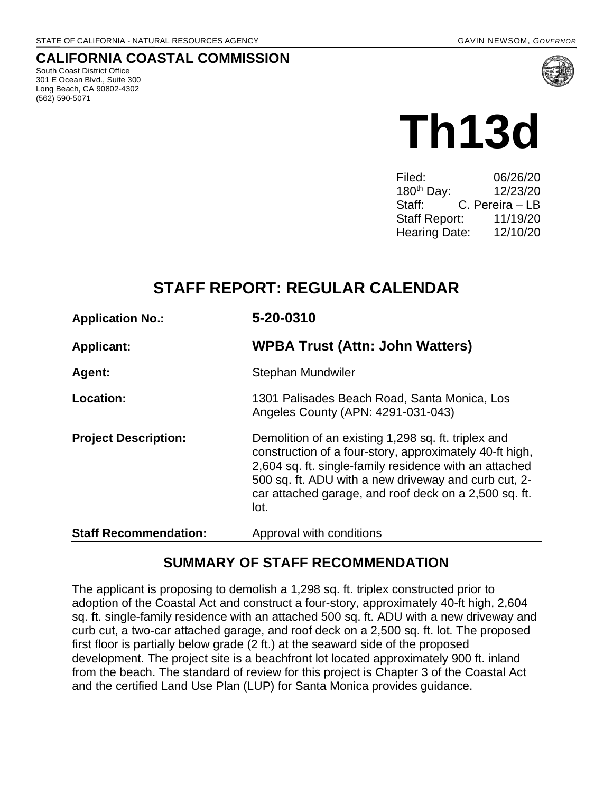#### **CALIFORNIA COASTAL COMMISSION**

South Coast District Office 301 E Ocean Blvd., Suite 300 Long Beach, CA 90802-4302 (562) 590-5071



# **Th13d**

| Filed:                 | 06/26/20        |
|------------------------|-----------------|
| 180 <sup>th</sup> Day: | 12/23/20        |
| Staff:                 | C. Pereira – LB |
| <b>Staff Report:</b>   | 11/19/20        |
| <b>Hearing Date:</b>   | 12/10/20        |

# **STAFF REPORT: REGULAR CALENDAR**

| <b>Application No.:</b>      | 5-20-0310                                                                                                                                                                                                                                                                                         |
|------------------------------|---------------------------------------------------------------------------------------------------------------------------------------------------------------------------------------------------------------------------------------------------------------------------------------------------|
| <b>Applicant:</b>            | <b>WPBA Trust (Attn: John Watters)</b>                                                                                                                                                                                                                                                            |
| Agent:                       | Stephan Mundwiler                                                                                                                                                                                                                                                                                 |
| Location:                    | 1301 Palisades Beach Road, Santa Monica, Los<br>Angeles County (APN: 4291-031-043)                                                                                                                                                                                                                |
| <b>Project Description:</b>  | Demolition of an existing 1,298 sq. ft. triplex and<br>construction of a four-story, approximately 40-ft high,<br>2,604 sq. ft. single-family residence with an attached<br>500 sq. ft. ADU with a new driveway and curb cut, 2-<br>car attached garage, and roof deck on a 2,500 sq. ft.<br>lot. |
| <b>Staff Recommendation:</b> | Approval with conditions                                                                                                                                                                                                                                                                          |

## **SUMMARY OF STAFF RECOMMENDATION**

The applicant is proposing to demolish a 1,298 sq. ft. triplex constructed prior to adoption of the Coastal Act and construct a four-story, approximately 40-ft high, 2,604 sq. ft. single-family residence with an attached 500 sq. ft. ADU with a new driveway and curb cut, a two-car attached garage, and roof deck on a 2,500 sq. ft. lot. The proposed first floor is partially below grade (2 ft.) at the seaward side of the proposed development. The project site is a beachfront lot located approximately 900 ft. inland from the beach. The standard of review for this project is Chapter 3 of the Coastal Act and the certified Land Use Plan (LUP) for Santa Monica provides guidance.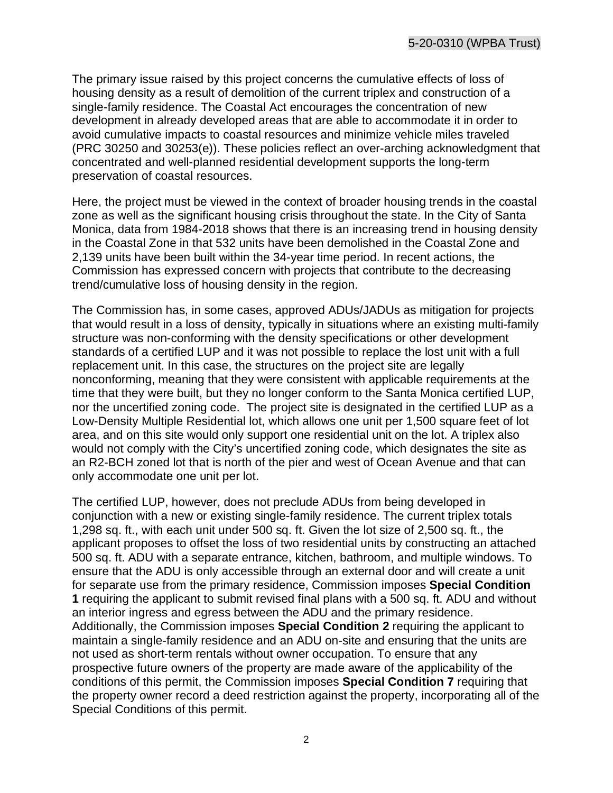The primary issue raised by this project concerns the cumulative effects of loss of housing density as a result of demolition of the current triplex and construction of a single-family residence. The Coastal Act encourages the concentration of new development in already developed areas that are able to accommodate it in order to avoid cumulative impacts to coastal resources and minimize vehicle miles traveled (PRC 30250 and 30253(e)). These policies reflect an over-arching acknowledgment that concentrated and well-planned residential development supports the long-term preservation of coastal resources.

Here, the project must be viewed in the context of broader housing trends in the coastal zone as well as the significant housing crisis throughout the state. In the City of Santa Monica, data from 1984-2018 shows that there is an increasing trend in housing density in the Coastal Zone in that 532 units have been demolished in the Coastal Zone and 2,139 units have been built within the 34-year time period. In recent actions, the Commission has expressed concern with projects that contribute to the decreasing trend/cumulative loss of housing density in the region.

The Commission has, in some cases, approved ADUs/JADUs as mitigation for projects that would result in a loss of density, typically in situations where an existing multi-family structure was non-conforming with the density specifications or other development standards of a certified LUP and it was not possible to replace the lost unit with a full replacement unit. In this case, the structures on the project site are legally nonconforming, meaning that they were consistent with applicable requirements at the time that they were built, but they no longer conform to the Santa Monica certified LUP, nor the uncertified zoning code. The project site is designated in the certified LUP as a Low-Density Multiple Residential lot, which allows one unit per 1,500 square feet of lot area, and on this site would only support one residential unit on the lot. A triplex also would not comply with the City's uncertified zoning code, which designates the site as an R2-BCH zoned lot that is north of the pier and west of Ocean Avenue and that can only accommodate one unit per lot.

The certified LUP, however, does not preclude ADUs from being developed in conjunction with a new or existing single-family residence. The current triplex totals 1,298 sq. ft., with each unit under 500 sq. ft. Given the lot size of 2,500 sq. ft., the applicant proposes to offset the loss of two residential units by constructing an attached 500 sq. ft. ADU with a separate entrance, kitchen, bathroom, and multiple windows. To ensure that the ADU is only accessible through an external door and will create a unit for separate use from the primary residence, Commission imposes **Special Condition 1** requiring the applicant to submit revised final plans with a 500 sq. ft. ADU and without an interior ingress and egress between the ADU and the primary residence. Additionally, the Commission imposes **Special Condition 2** requiring the applicant to maintain a single-family residence and an ADU on-site and ensuring that the units are not used as short-term rentals without owner occupation. To ensure that any prospective future owners of the property are made aware of the applicability of the conditions of this permit, the Commission imposes **Special Condition 7** requiring that the property owner record a deed restriction against the property, incorporating all of the Special Conditions of this permit.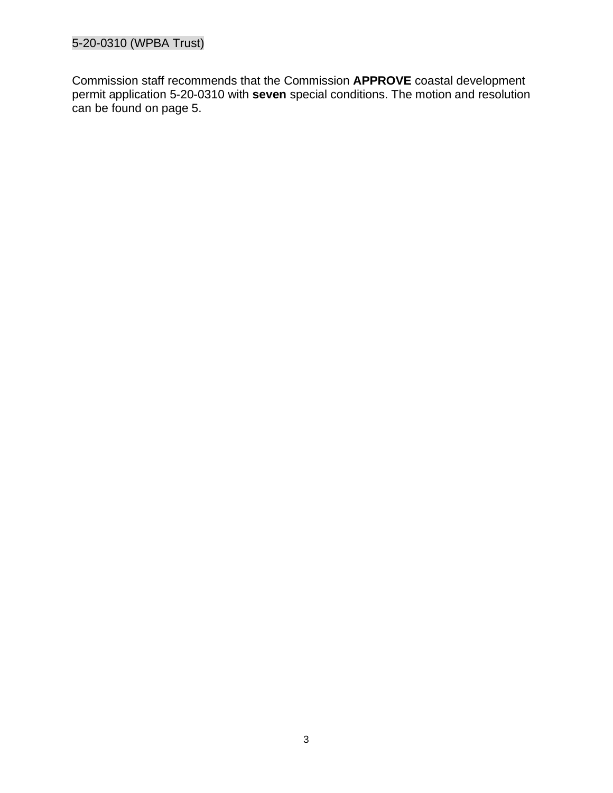#### 5-20-0310 (WPBA Trust)

Commission staff recommends that the Commission **APPROVE** coastal development permit application 5-20-0310 with **seven** special conditions. The motion and resolution can be found on page 5.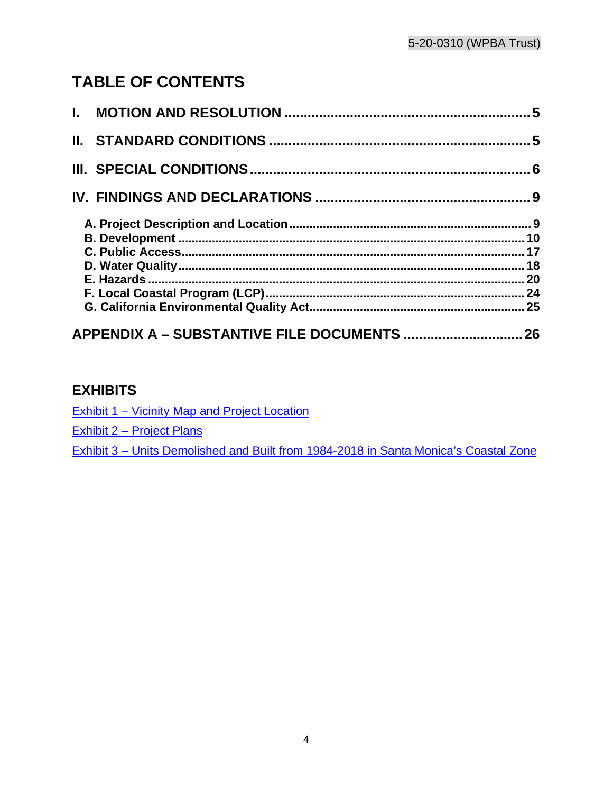# **TABLE OF CONTENTS**

| APPENDIX A - SUBSTANTIVE FILE DOCUMENTS  26 |  |
|---------------------------------------------|--|

## **EXHIBITS**

[Exhibit 1 – Vicinity Map and Project Location](https://documents.coastal.ca.gov/reports/2020/12/th13d/th13d-12-2020-exhibits.pdf)

[Exhibit 2 – Project Plans](https://documents.coastal.ca.gov/reports/2020/12/th13d/th13d-12-2020-exhibits.pdf)

[Exhibit 3 – Units Demolished and Built from 1984-2018 in Santa Monica's Coastal Zone](https://documents.coastal.ca.gov/reports/2020/12/th13d/th13d-12-2020-exhibits.pdf)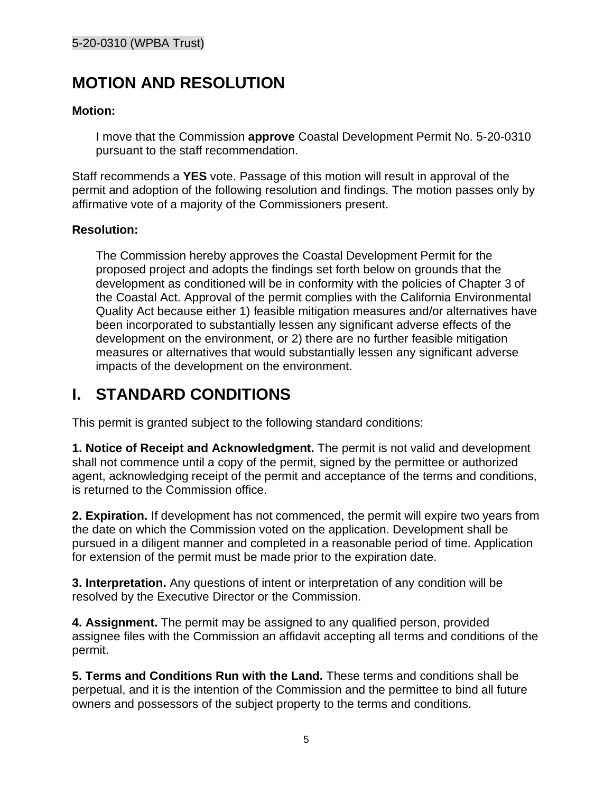# <span id="page-4-0"></span>**MOTION AND RESOLUTION**

#### **Motion:**

I move that the Commission **approve** Coastal Development Permit No. 5-20-0310 pursuant to the staff recommendation.

Staff recommends a **YES** vote. Passage of this motion will result in approval of the permit and adoption of the following resolution and findings. The motion passes only by affirmative vote of a majority of the Commissioners present.

#### **Resolution:**

The Commission hereby approves the Coastal Development Permit for the proposed project and adopts the findings set forth below on grounds that the development as conditioned will be in conformity with the policies of Chapter 3 of the Coastal Act. Approval of the permit complies with the California Environmental Quality Act because either 1) feasible mitigation measures and/or alternatives have been incorporated to substantially lessen any significant adverse effects of the development on the environment, or 2) there are no further feasible mitigation measures or alternatives that would substantially lessen any significant adverse impacts of the development on the environment.

# <span id="page-4-1"></span>**I. STANDARD CONDITIONS**

This permit is granted subject to the following standard conditions:

**1. Notice of Receipt and Acknowledgment.** The permit is not valid and development shall not commence until a copy of the permit, signed by the permittee or authorized agent, acknowledging receipt of the permit and acceptance of the terms and conditions, is returned to the Commission office.

**2. Expiration.** If development has not commenced, the permit will expire two years from the date on which the Commission voted on the application. Development shall be pursued in a diligent manner and completed in a reasonable period of time. Application for extension of the permit must be made prior to the expiration date.

**3. Interpretation.** Any questions of intent or interpretation of any condition will be resolved by the Executive Director or the Commission.

**4. Assignment.** The permit may be assigned to any qualified person, provided assignee files with the Commission an affidavit accepting all terms and conditions of the permit.

**5. Terms and Conditions Run with the Land.** These terms and conditions shall be perpetual, and it is the intention of the Commission and the permittee to bind all future owners and possessors of the subject property to the terms and conditions.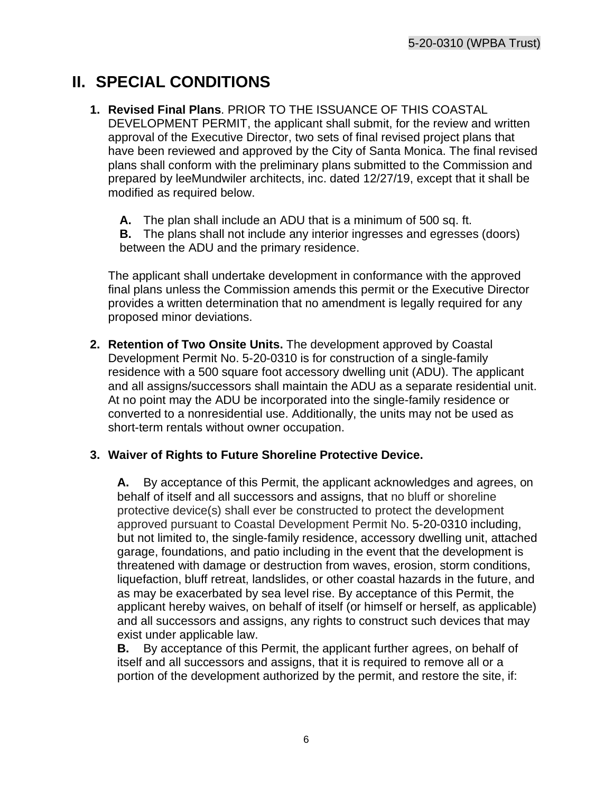# <span id="page-5-0"></span>**II. SPECIAL CONDITIONS**

- **1. Revised Final Plans**. PRIOR TO THE ISSUANCE OF THIS COASTAL DEVELOPMENT PERMIT, the applicant shall submit, for the review and written approval of the Executive Director, two sets of final revised project plans that have been reviewed and approved by the City of Santa Monica. The final revised plans shall conform with the preliminary plans submitted to the Commission and prepared by leeMundwiler architects, inc. dated 12/27/19, except that it shall be modified as required below.
	- **A.** The plan shall include an ADU that is a minimum of 500 sq. ft.

**B.** The plans shall not include any interior ingresses and egresses (doors) between the ADU and the primary residence.

The applicant shall undertake development in conformance with the approved final plans unless the Commission amends this permit or the Executive Director provides a written determination that no amendment is legally required for any proposed minor deviations.

**2. Retention of Two Onsite Units.** The development approved by Coastal Development Permit No. 5-20-0310 is for construction of a single-family residence with a 500 square foot accessory dwelling unit (ADU). The applicant and all assigns/successors shall maintain the ADU as a separate residential unit. At no point may the ADU be incorporated into the single-family residence or converted to a nonresidential use. Additionally, the units may not be used as short-term rentals without owner occupation.

#### **3. Waiver of Rights to Future Shoreline Protective Device.**

**A.** By acceptance of this Permit, the applicant acknowledges and agrees, on behalf of itself and all successors and assigns, that no bluff or shoreline protective device(s) shall ever be constructed to protect the development approved pursuant to Coastal Development Permit No. 5-20-0310 including, but not limited to, the single-family residence, accessory dwelling unit, attached garage, foundations, and patio including in the event that the development is threatened with damage or destruction from waves, erosion, storm conditions, liquefaction, bluff retreat, landslides, or other coastal hazards in the future, and as may be exacerbated by sea level rise. By acceptance of this Permit, the applicant hereby waives, on behalf of itself (or himself or herself, as applicable) and all successors and assigns, any rights to construct such devices that may exist under applicable law.

**B.** By acceptance of this Permit, the applicant further agrees, on behalf of itself and all successors and assigns, that it is required to remove all or a portion of the development authorized by the permit, and restore the site, if: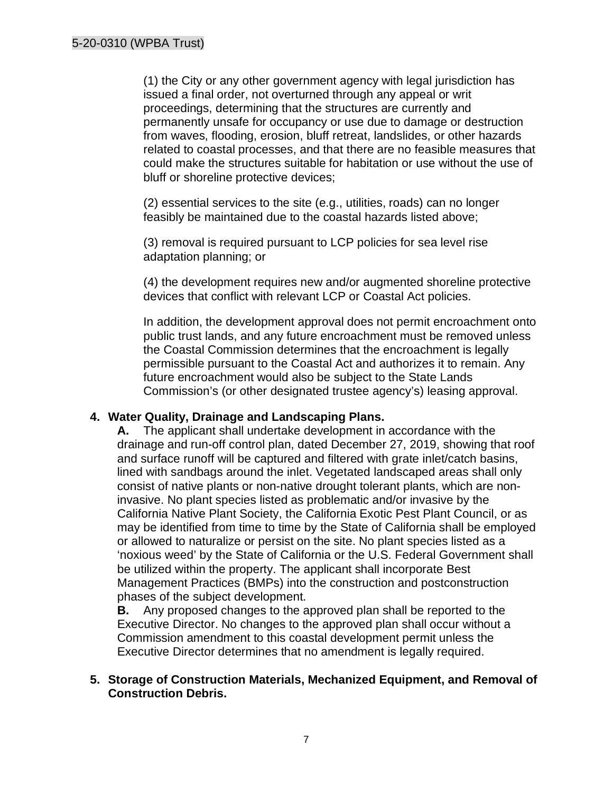(1) the City or any other government agency with legal jurisdiction has issued a final order, not overturned through any appeal or writ proceedings, determining that the structures are currently and permanently unsafe for occupancy or use due to damage or destruction from waves, flooding, erosion, bluff retreat, landslides, or other hazards related to coastal processes, and that there are no feasible measures that could make the structures suitable for habitation or use without the use of bluff or shoreline protective devices;

(2) essential services to the site (e.g., utilities, roads) can no longer feasibly be maintained due to the coastal hazards listed above;

(3) removal is required pursuant to LCP policies for sea level rise adaptation planning; or

(4) the development requires new and/or augmented shoreline protective devices that conflict with relevant LCP or Coastal Act policies.

In addition, the development approval does not permit encroachment onto public trust lands, and any future encroachment must be removed unless the Coastal Commission determines that the encroachment is legally permissible pursuant to the Coastal Act and authorizes it to remain. Any future encroachment would also be subject to the State Lands Commission's (or other designated trustee agency's) leasing approval.

#### **4. Water Quality, Drainage and Landscaping Plans.**

**A.** The applicant shall undertake development in accordance with the drainage and run-off control plan, dated December 27, 2019, showing that roof and surface runoff will be captured and filtered with grate inlet/catch basins, lined with sandbags around the inlet. Vegetated landscaped areas shall only consist of native plants or non-native drought tolerant plants, which are noninvasive. No plant species listed as problematic and/or invasive by the California Native Plant Society, the California Exotic Pest Plant Council, or as may be identified from time to time by the State of California shall be employed or allowed to naturalize or persist on the site. No plant species listed as a 'noxious weed' by the State of California or the U.S. Federal Government shall be utilized within the property. The applicant shall incorporate Best Management Practices (BMPs) into the construction and postconstruction phases of the subject development.

**B.** Any proposed changes to the approved plan shall be reported to the Executive Director. No changes to the approved plan shall occur without a Commission amendment to this coastal development permit unless the Executive Director determines that no amendment is legally required.

#### **5. Storage of Construction Materials, Mechanized Equipment, and Removal of Construction Debris.**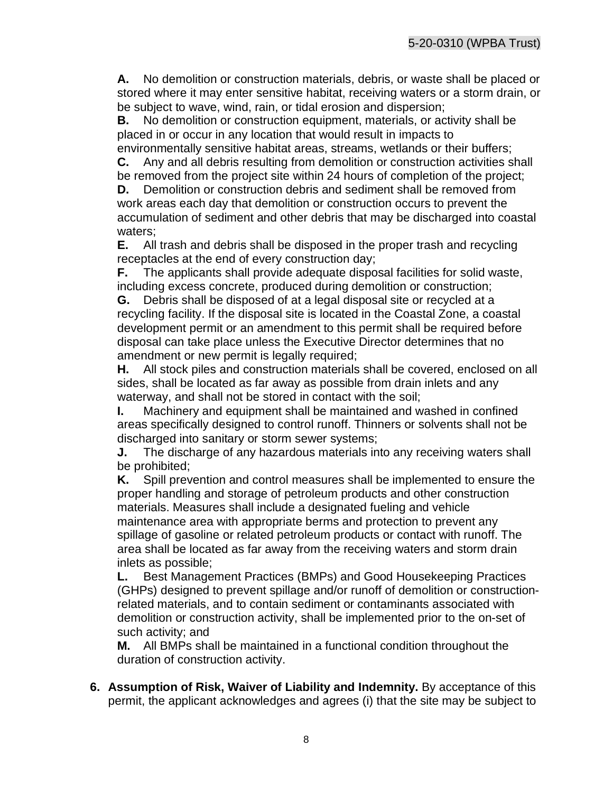**A.** No demolition or construction materials, debris, or waste shall be placed or stored where it may enter sensitive habitat, receiving waters or a storm drain, or be subject to wave, wind, rain, or tidal erosion and dispersion;

**B.** No demolition or construction equipment, materials, or activity shall be placed in or occur in any location that would result in impacts to environmentally sensitive habitat areas, streams, wetlands or their buffers;

**C.** Any and all debris resulting from demolition or construction activities shall be removed from the project site within 24 hours of completion of the project;

**D.** Demolition or construction debris and sediment shall be removed from work areas each day that demolition or construction occurs to prevent the accumulation of sediment and other debris that may be discharged into coastal waters;

**E.** All trash and debris shall be disposed in the proper trash and recycling receptacles at the end of every construction day;

**F.** The applicants shall provide adequate disposal facilities for solid waste, including excess concrete, produced during demolition or construction;

**G.** Debris shall be disposed of at a legal disposal site or recycled at a recycling facility. If the disposal site is located in the Coastal Zone, a coastal development permit or an amendment to this permit shall be required before disposal can take place unless the Executive Director determines that no amendment or new permit is legally required;

**H.** All stock piles and construction materials shall be covered, enclosed on all sides, shall be located as far away as possible from drain inlets and any waterway, and shall not be stored in contact with the soil;

**I.** Machinery and equipment shall be maintained and washed in confined areas specifically designed to control runoff. Thinners or solvents shall not be discharged into sanitary or storm sewer systems;

**J.** The discharge of any hazardous materials into any receiving waters shall be prohibited;

**K.** Spill prevention and control measures shall be implemented to ensure the proper handling and storage of petroleum products and other construction materials. Measures shall include a designated fueling and vehicle maintenance area with appropriate berms and protection to prevent any spillage of gasoline or related petroleum products or contact with runoff. The area shall be located as far away from the receiving waters and storm drain inlets as possible;

**L.** Best Management Practices (BMPs) and Good Housekeeping Practices (GHPs) designed to prevent spillage and/or runoff of demolition or constructionrelated materials, and to contain sediment or contaminants associated with demolition or construction activity, shall be implemented prior to the on-set of such activity; and

**M.** All BMPs shall be maintained in a functional condition throughout the duration of construction activity.

**6. Assumption of Risk, Waiver of Liability and Indemnity.** By acceptance of this permit, the applicant acknowledges and agrees (i) that the site may be subject to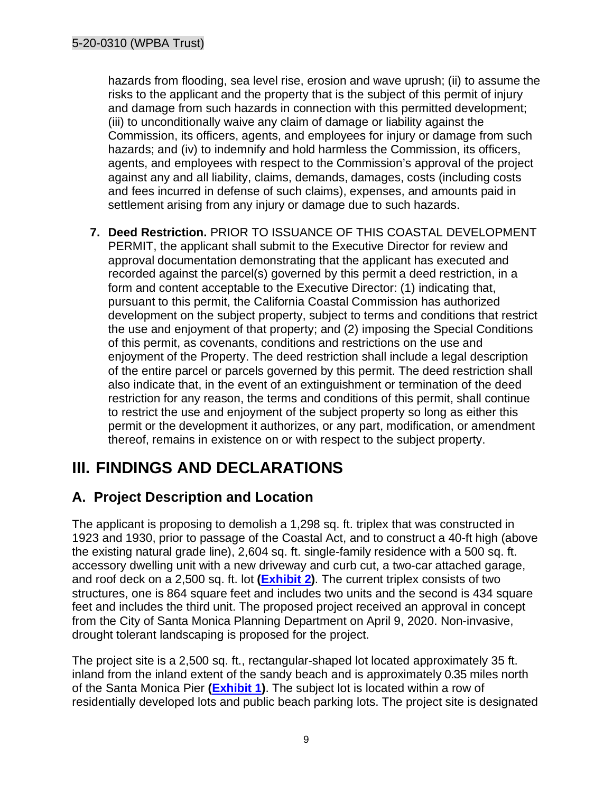hazards from flooding, sea level rise, erosion and wave uprush; (ii) to assume the risks to the applicant and the property that is the subject of this permit of injury and damage from such hazards in connection with this permitted development; (iii) to unconditionally waive any claim of damage or liability against the Commission, its officers, agents, and employees for injury or damage from such hazards; and (iv) to indemnify and hold harmless the Commission, its officers, agents, and employees with respect to the Commission's approval of the project against any and all liability, claims, demands, damages, costs (including costs and fees incurred in defense of such claims), expenses, and amounts paid in settlement arising from any injury or damage due to such hazards.

**7. Deed Restriction.** PRIOR TO ISSUANCE OF THIS COASTAL DEVELOPMENT PERMIT, the applicant shall submit to the Executive Director for review and approval documentation demonstrating that the applicant has executed and recorded against the parcel(s) governed by this permit a deed restriction, in a form and content acceptable to the Executive Director: (1) indicating that, pursuant to this permit, the California Coastal Commission has authorized development on the subject property, subject to terms and conditions that restrict the use and enjoyment of that property; and (2) imposing the Special Conditions of this permit, as covenants, conditions and restrictions on the use and enjoyment of the Property. The deed restriction shall include a legal description of the entire parcel or parcels governed by this permit. The deed restriction shall also indicate that, in the event of an extinguishment or termination of the deed restriction for any reason, the terms and conditions of this permit, shall continue to restrict the use and enjoyment of the subject property so long as either this permit or the development it authorizes, or any part, modification, or amendment thereof, remains in existence on or with respect to the subject property.

# <span id="page-8-0"></span>**III. FINDINGS AND DECLARATIONS**

## <span id="page-8-1"></span>**A. Project Description and Location**

The applicant is proposing to demolish a 1,298 sq. ft. triplex that was constructed in 1923 and 1930, prior to passage of the Coastal Act, and to construct a 40-ft high (above the existing natural grade line), 2,604 sq. ft. single-family residence with a 500 sq. ft. accessory dwelling unit with a new driveway and curb cut, a two-car attached garage, and roof deck on a 2,500 sq. ft. lot **[\(Exhibit 2\)](https://documents.coastal.ca.gov/reports/2020/12/th13d/th13d-12-2020-exhibits.pdf)**. The current triplex consists of two structures, one is 864 square feet and includes two units and the second is 434 square feet and includes the third unit. The proposed project received an approval in concept from the City of Santa Monica Planning Department on April 9, 2020. Non-invasive, drought tolerant landscaping is proposed for the project.

The project site is a 2,500 sq. ft., rectangular-shaped lot located approximately 35 ft. inland from the inland extent of the sandy beach and is approximately 0.35 miles north of the Santa Monica Pier **[\(Exhibit 1\)](https://documents.coastal.ca.gov/reports/2020/12/th13d/th13d-12-2020-exhibits.pdf)**. The subject lot is located within a row of residentially developed lots and public beach parking lots. The project site is designated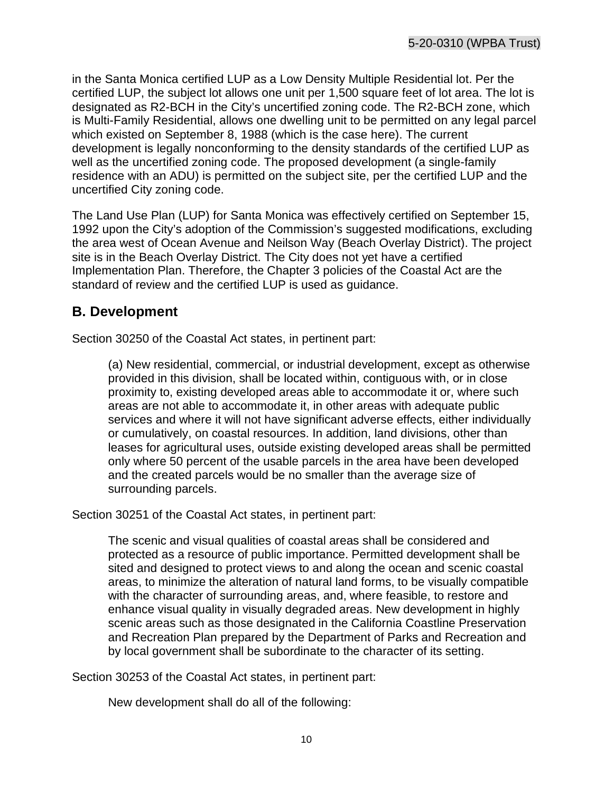in the Santa Monica certified LUP as a Low Density Multiple Residential lot. Per the certified LUP, the subject lot allows one unit per 1,500 square feet of lot area. The lot is designated as R2-BCH in the City's uncertified zoning code. The R2-BCH zone, which is Multi-Family Residential, allows one dwelling unit to be permitted on any legal parcel which existed on September 8, 1988 (which is the case here). The current development is legally nonconforming to the density standards of the certified LUP as well as the uncertified zoning code. The proposed development (a single-family residence with an ADU) is permitted on the subject site, per the certified LUP and the uncertified City zoning code.

The Land Use Plan (LUP) for Santa Monica was effectively certified on September 15, 1992 upon the City's adoption of the Commission's suggested modifications, excluding the area west of Ocean Avenue and Neilson Way (Beach Overlay District). The project site is in the Beach Overlay District. The City does not yet have a certified Implementation Plan. Therefore, the Chapter 3 policies of the Coastal Act are the standard of review and the certified LUP is used as guidance.

## <span id="page-9-0"></span>**B. Development**

Section 30250 of the Coastal Act states, in pertinent part:

(a) New residential, commercial, or industrial development, except as otherwise provided in this division, shall be located within, contiguous with, or in close proximity to, existing developed areas able to accommodate it or, where such areas are not able to accommodate it, in other areas with adequate public services and where it will not have significant adverse effects, either individually or cumulatively, on coastal resources. In addition, land divisions, other than leases for agricultural uses, outside existing developed areas shall be permitted only where 50 percent of the usable parcels in the area have been developed and the created parcels would be no smaller than the average size of surrounding parcels.

Section 30251 of the Coastal Act states, in pertinent part:

The scenic and visual qualities of coastal areas shall be considered and protected as a resource of public importance. Permitted development shall be sited and designed to protect views to and along the ocean and scenic coastal areas, to minimize the alteration of natural land forms, to be visually compatible with the character of surrounding areas, and, where feasible, to restore and enhance visual quality in visually degraded areas. New development in highly scenic areas such as those designated in the California Coastline Preservation and Recreation Plan prepared by the Department of Parks and Recreation and by local government shall be subordinate to the character of its setting.

Section 30253 of the Coastal Act states, in pertinent part:

New development shall do all of the following: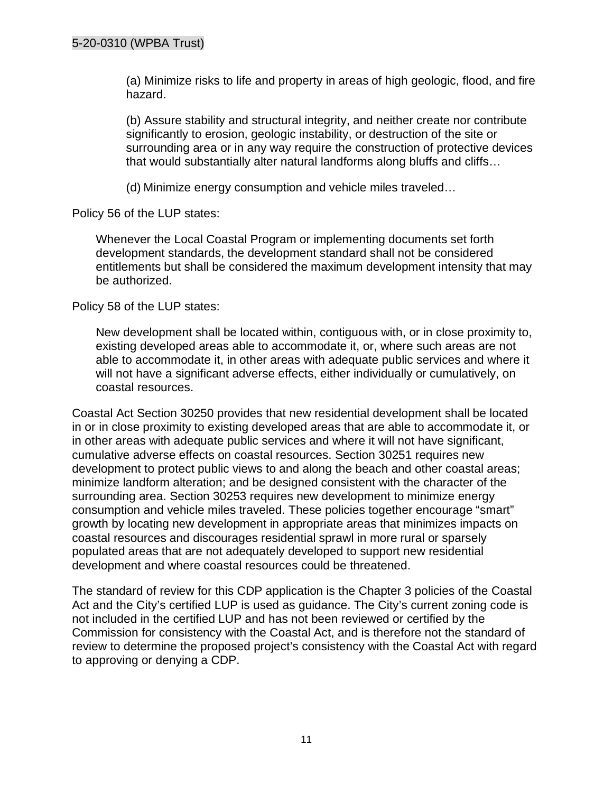(a) Minimize risks to life and property in areas of high geologic, flood, and fire hazard.

(b) Assure stability and structural integrity, and neither create nor contribute significantly to erosion, geologic instability, or destruction of the site or surrounding area or in any way require the construction of protective devices that would substantially alter natural landforms along bluffs and cliffs…

(d) Minimize energy consumption and vehicle miles traveled…

Policy 56 of the LUP states:

Whenever the Local Coastal Program or implementing documents set forth development standards, the development standard shall not be considered entitlements but shall be considered the maximum development intensity that may be authorized.

Policy 58 of the LUP states:

New development shall be located within, contiguous with, or in close proximity to, existing developed areas able to accommodate it, or, where such areas are not able to accommodate it, in other areas with adequate public services and where it will not have a significant adverse effects, either individually or cumulatively, on coastal resources.

Coastal Act Section 30250 provides that new residential development shall be located in or in close proximity to existing developed areas that are able to accommodate it, or in other areas with adequate public services and where it will not have significant, cumulative adverse effects on coastal resources. Section 30251 requires new development to protect public views to and along the beach and other coastal areas; minimize landform alteration; and be designed consistent with the character of the surrounding area. Section 30253 requires new development to minimize energy consumption and vehicle miles traveled. These policies together encourage "smart" growth by locating new development in appropriate areas that minimizes impacts on coastal resources and discourages residential sprawl in more rural or sparsely populated areas that are not adequately developed to support new residential development and where coastal resources could be threatened.

The standard of review for this CDP application is the Chapter 3 policies of the Coastal Act and the City's certified LUP is used as guidance. The City's current zoning code is not included in the certified LUP and has not been reviewed or certified by the Commission for consistency with the Coastal Act, and is therefore not the standard of review to determine the proposed project's consistency with the Coastal Act with regard to approving or denying a CDP.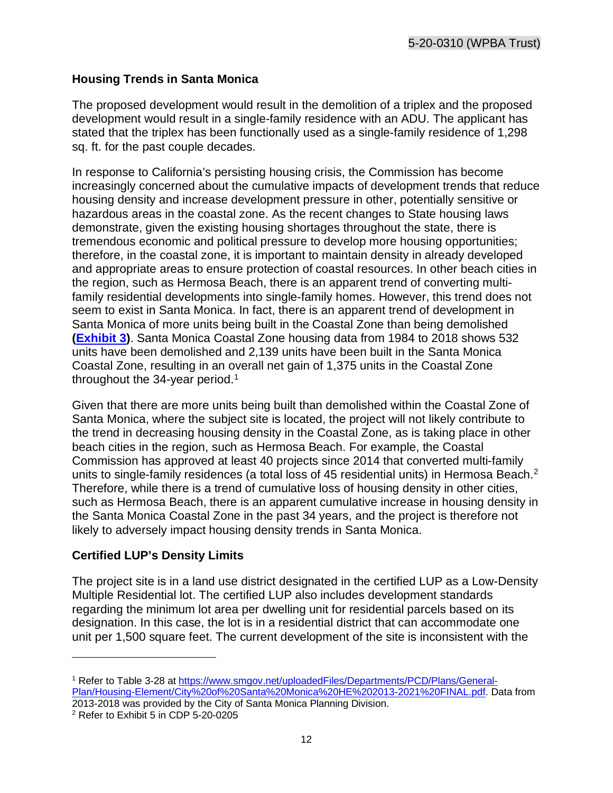#### **Housing Trends in Santa Monica**

The proposed development would result in the demolition of a triplex and the proposed development would result in a single-family residence with an ADU. The applicant has stated that the triplex has been functionally used as a single-family residence of 1,298 sq. ft. for the past couple decades.

In response to California's persisting housing crisis, the Commission has become increasingly concerned about the cumulative impacts of development trends that reduce housing density and increase development pressure in other, potentially sensitive or hazardous areas in the coastal zone. As the recent changes to State housing laws demonstrate, given the existing housing shortages throughout the state, there is tremendous economic and political pressure to develop more housing opportunities; therefore, in the coastal zone, it is important to maintain density in already developed and appropriate areas to ensure protection of coastal resources. In other beach cities in the region, such as Hermosa Beach, there is an apparent trend of converting multifamily residential developments into single-family homes. However, this trend does not seem to exist in Santa Monica. In fact, there is an apparent trend of development in Santa Monica of more units being built in the Coastal Zone than being demolished **[\(Exhibit 3\)](https://documents.coastal.ca.gov/reports/2020/12/th13d/th13d-12-2020-exhibits.pdf)**. Santa Monica Coastal Zone housing data from 1984 to 2018 shows 532 units have been demolished and 2,139 units have been built in the Santa Monica Coastal Zone, resulting in an overall net gain of 1,375 units in the Coastal Zone throughout the  $34$ -year period.<sup>[1](#page-11-0)</sup>

Given that there are more units being built than demolished within the Coastal Zone of Santa Monica, where the subject site is located, the project will not likely contribute to the trend in decreasing housing density in the Coastal Zone, as is taking place in other beach cities in the region, such as Hermosa Beach. For example, the Coastal Commission has approved at least 40 projects since 2014 that converted multi-family units to single-family residences (a total loss of 45 residential units) in Hermosa Beach.<sup>[2](#page-11-1)</sup> Therefore, while there is a trend of cumulative loss of housing density in other cities, such as Hermosa Beach, there is an apparent cumulative increase in housing density in the Santa Monica Coastal Zone in the past 34 years, and the project is therefore not likely to adversely impact housing density trends in Santa Monica.

#### **Certified LUP's Density Limits**

The project site is in a land use district designated in the certified LUP as a Low-Density Multiple Residential lot. The certified LUP also includes development standards regarding the minimum lot area per dwelling unit for residential parcels based on its designation. In this case, the lot is in a residential district that can accommodate one unit per 1,500 square feet. The current development of the site is inconsistent with the

<span id="page-11-0"></span><sup>1</sup> Refer to Table 3-28 at [https://www.smgov.net/uploadedFiles/Departments/PCD/Plans/General-](https://www.smgov.net/uploadedFiles/Departments/PCD/Plans/General-Plan/Housing-Element/City%20of%20Santa%20Monica%20HE%202013-2021%20FINAL.pdf)[Plan/Housing-Element/City%20of%20Santa%20Monica%20HE%202013-2021%20FINAL.pdf.](https://www.smgov.net/uploadedFiles/Departments/PCD/Plans/General-Plan/Housing-Element/City%20of%20Santa%20Monica%20HE%202013-2021%20FINAL.pdf) Data from 2013-2018 was provided by the City of Santa Monica Planning Division.

<span id="page-11-1"></span><sup>2</sup> Refer to Exhibit 5 in CDP 5-20-0205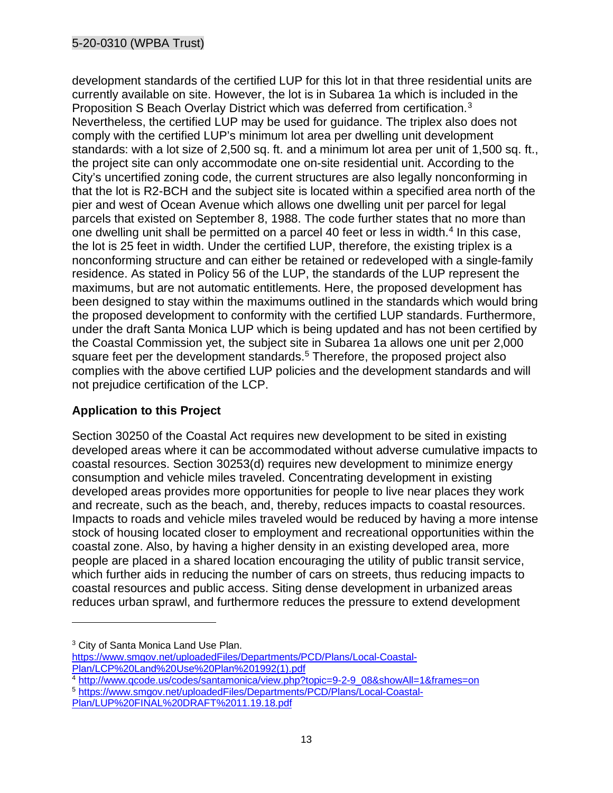#### 5-20-0310 (WPBA Trust)

development standards of the certified LUP for this lot in that three residential units are currently available on site. However, the lot is in Subarea 1a which is included in the Proposition S Beach Overlay District which was deferred from certification.<sup>[3](#page-12-0)</sup> Nevertheless, the certified LUP may be used for guidance. The triplex also does not comply with the certified LUP's minimum lot area per dwelling unit development standards: with a lot size of 2,500 sq. ft. and a minimum lot area per unit of 1,500 sq. ft., the project site can only accommodate one on-site residential unit. According to the City's uncertified zoning code, the current structures are also legally nonconforming in that the lot is R2-BCH and the subject site is located within a specified area north of the pier and west of Ocean Avenue which allows one dwelling unit per parcel for legal parcels that existed on September 8, 1988. The code further states that no more than one dwelling unit shall be permitted on a parcel [4](#page-12-1)0 feet or less in width.<sup>4</sup> In this case, the lot is 25 feet in width. Under the certified LUP, therefore, the existing triplex is a nonconforming structure and can either be retained or redeveloped with a single-family residence. As stated in Policy 56 of the LUP, the standards of the LUP represent the maximums, but are not automatic entitlements. Here, the proposed development has been designed to stay within the maximums outlined in the standards which would bring the proposed development to conformity with the certified LUP standards. Furthermore, under the draft Santa Monica LUP which is being updated and has not been certified by the Coastal Commission yet, the subject site in Subarea 1a allows one unit per 2,000 square feet per the development standards.<sup>[5](#page-12-2)</sup> Therefore, the proposed project also complies with the above certified LUP policies and the development standards and will not prejudice certification of the LCP.

#### **Application to this Project**

Section 30250 of the Coastal Act requires new development to be sited in existing developed areas where it can be accommodated without adverse cumulative impacts to coastal resources. Section 30253(d) requires new development to minimize energy consumption and vehicle miles traveled. Concentrating development in existing developed areas provides more opportunities for people to live near places they work and recreate, such as the beach, and, thereby, reduces impacts to coastal resources. Impacts to roads and vehicle miles traveled would be reduced by having a more intense stock of housing located closer to employment and recreational opportunities within the coastal zone. Also, by having a higher density in an existing developed area, more people are placed in a shared location encouraging the utility of public transit service, which further aids in reducing the number of cars on streets, thus reducing impacts to coastal resources and public access. Siting dense development in urbanized areas reduces urban sprawl, and furthermore reduces the pressure to extend development

<span id="page-12-1"></span><sup>4</sup> [http://www.qcode.us/codes/santamonica/view.php?topic=9-2-9\\_08&showAll=1&frames=on](http://www.qcode.us/codes/santamonica/view.php?topic=9-2-9_08&showAll=1&frames=on) 5 [https://www.smgov.net/uploadedFiles/Departments/PCD/Plans/Local-Coastal-](https://www.smgov.net/uploadedFiles/Departments/PCD/Plans/Local-Coastal-Plan/LUP%20FINAL%20DRAFT%2011.19.18.pdf)

<span id="page-12-0"></span><sup>&</sup>lt;sup>3</sup> City of Santa Monica Land Use Plan.

https://www.smgov.net/uploadedFiles/Departments/PCD/Plans/Local-Coastal-<br>Plan/LCP%20Land%20Use%20Plan%201992(1).pdf

<span id="page-12-2"></span>[Plan/LUP%20FINAL%20DRAFT%2011.19.18.pdf](https://www.smgov.net/uploadedFiles/Departments/PCD/Plans/Local-Coastal-Plan/LUP%20FINAL%20DRAFT%2011.19.18.pdf)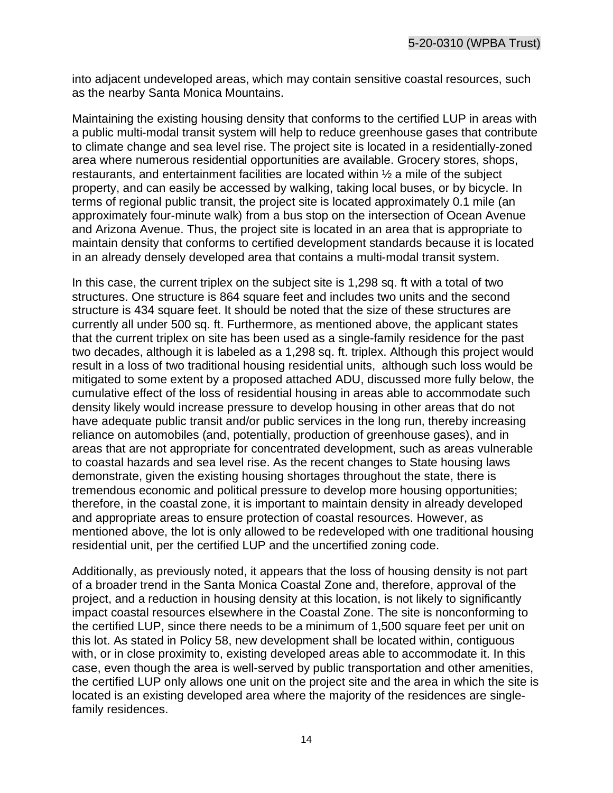into adjacent undeveloped areas, which may contain sensitive coastal resources, such as the nearby Santa Monica Mountains.

Maintaining the existing housing density that conforms to the certified LUP in areas with a public multi-modal transit system will help to reduce greenhouse gases that contribute to climate change and sea level rise. The project site is located in a residentially-zoned area where numerous residential opportunities are available. Grocery stores, shops, restaurants, and entertainment facilities are located within ½ a mile of the subject property, and can easily be accessed by walking, taking local buses, or by bicycle. In terms of regional public transit, the project site is located approximately 0.1 mile (an approximately four-minute walk) from a bus stop on the intersection of Ocean Avenue and Arizona Avenue. Thus, the project site is located in an area that is appropriate to maintain density that conforms to certified development standards because it is located in an already densely developed area that contains a multi-modal transit system.

In this case, the current triplex on the subject site is 1,298 sq. ft with a total of two structures. One structure is 864 square feet and includes two units and the second structure is 434 square feet. It should be noted that the size of these structures are currently all under 500 sq. ft. Furthermore, as mentioned above, the applicant states that the current triplex on site has been used as a single-family residence for the past two decades, although it is labeled as a 1,298 sq. ft. triplex. Although this project would result in a loss of two traditional housing residential units, although such loss would be mitigated to some extent by a proposed attached ADU, discussed more fully below, the cumulative effect of the loss of residential housing in areas able to accommodate such density likely would increase pressure to develop housing in other areas that do not have adequate public transit and/or public services in the long run, thereby increasing reliance on automobiles (and, potentially, production of greenhouse gases), and in areas that are not appropriate for concentrated development, such as areas vulnerable to coastal hazards and sea level rise. As the recent changes to State housing laws demonstrate, given the existing housing shortages throughout the state, there is tremendous economic and political pressure to develop more housing opportunities; therefore, in the coastal zone, it is important to maintain density in already developed and appropriate areas to ensure protection of coastal resources. However, as mentioned above, the lot is only allowed to be redeveloped with one traditional housing residential unit, per the certified LUP and the uncertified zoning code.

Additionally, as previously noted, it appears that the loss of housing density is not part of a broader trend in the Santa Monica Coastal Zone and, therefore, approval of the project, and a reduction in housing density at this location, is not likely to significantly impact coastal resources elsewhere in the Coastal Zone. The site is nonconforming to the certified LUP, since there needs to be a minimum of 1,500 square feet per unit on this lot. As stated in Policy 58, new development shall be located within, contiguous with, or in close proximity to, existing developed areas able to accommodate it. In this case, even though the area is well-served by public transportation and other amenities, the certified LUP only allows one unit on the project site and the area in which the site is located is an existing developed area where the majority of the residences are singlefamily residences.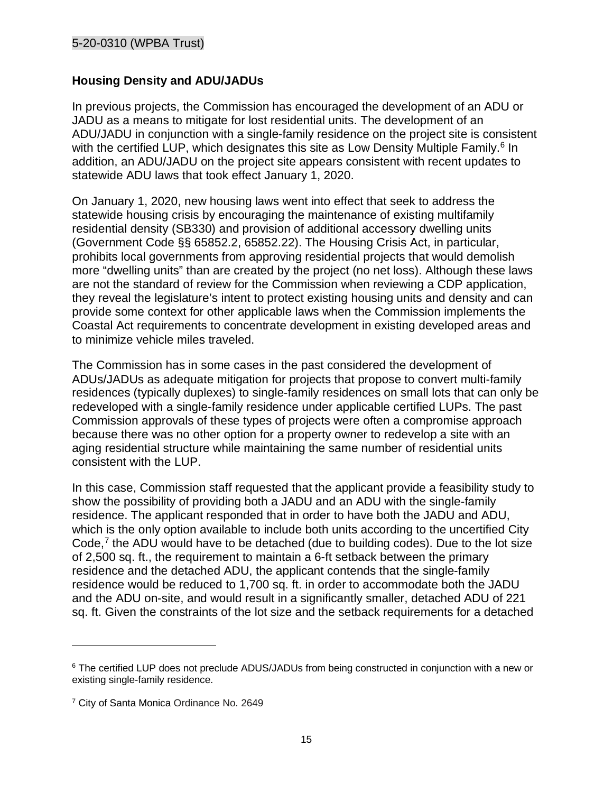#### **Housing Density and ADU/JADUs**

In previous projects, the Commission has encouraged the development of an ADU or JADU as a means to mitigate for lost residential units. The development of an ADU/JADU in conjunction with a single-family residence on the project site is consistent with the certified LUP, which designates this site as Low Density Multiple Family.<sup>[6](#page-14-0)</sup> In addition, an ADU/JADU on the project site appears consistent with recent updates to statewide ADU laws that took effect January 1, 2020.

On January 1, 2020, new housing laws went into effect that seek to address the statewide housing crisis by encouraging the maintenance of existing multifamily residential density (SB330) and provision of additional accessory dwelling units (Government Code §§ 65852.2, 65852.22). The Housing Crisis Act, in particular, prohibits local governments from approving residential projects that would demolish more "dwelling units" than are created by the project (no net loss). Although these laws are not the standard of review for the Commission when reviewing a CDP application, they reveal the legislature's intent to protect existing housing units and density and can provide some context for other applicable laws when the Commission implements the Coastal Act requirements to concentrate development in existing developed areas and to minimize vehicle miles traveled.

The Commission has in some cases in the past considered the development of ADUs/JADUs as adequate mitigation for projects that propose to convert multi-family residences (typically duplexes) to single-family residences on small lots that can only be redeveloped with a single-family residence under applicable certified LUPs. The past Commission approvals of these types of projects were often a compromise approach because there was no other option for a property owner to redevelop a site with an aging residential structure while maintaining the same number of residential units consistent with the LUP.

In this case, Commission staff requested that the applicant provide a feasibility study to show the possibility of providing both a JADU and an ADU with the single-family residence. The applicant responded that in order to have both the JADU and ADU, which is the only option available to include both units according to the uncertified City Code, $7$  the ADU would have to be detached (due to building codes). Due to the lot size of 2,500 sq. ft., the requirement to maintain a 6-ft setback between the primary residence and the detached ADU, the applicant contends that the single-family residence would be reduced to 1,700 sq. ft. in order to accommodate both the JADU and the ADU on-site, and would result in a significantly smaller, detached ADU of 221 sq. ft. Given the constraints of the lot size and the setback requirements for a detached

<span id="page-14-0"></span><sup>&</sup>lt;sup>6</sup> The certified LUP does not preclude ADUS/JADUs from being constructed in conjunction with a new or existing single-family residence.

<span id="page-14-1"></span><sup>7</sup> City of Santa Monica Ordinance No. 2649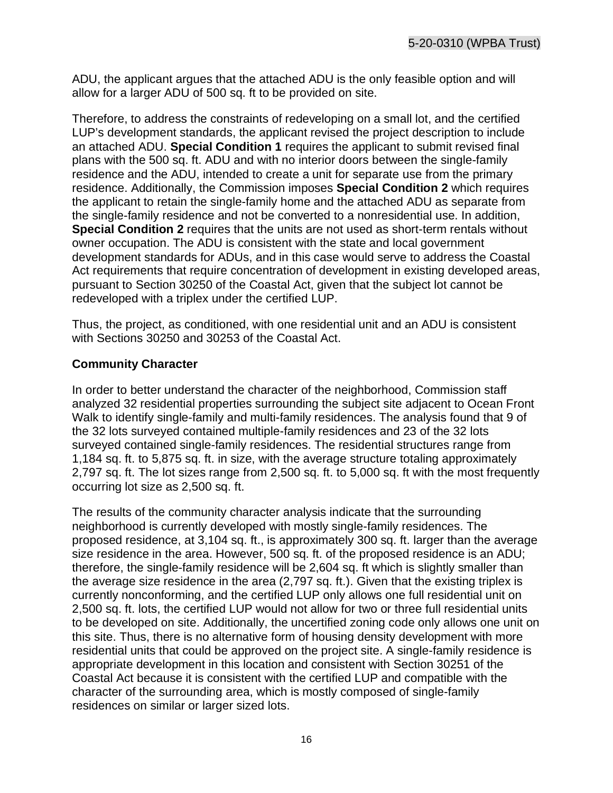ADU, the applicant argues that the attached ADU is the only feasible option and will allow for a larger ADU of 500 sq. ft to be provided on site.

Therefore, to address the constraints of redeveloping on a small lot, and the certified LUP's development standards, the applicant revised the project description to include an attached ADU. **Special Condition 1** requires the applicant to submit revised final plans with the 500 sq. ft. ADU and with no interior doors between the single-family residence and the ADU, intended to create a unit for separate use from the primary residence. Additionally, the Commission imposes **Special Condition 2** which requires the applicant to retain the single-family home and the attached ADU as separate from the single-family residence and not be converted to a nonresidential use. In addition, **Special Condition 2** requires that the units are not used as short-term rentals without owner occupation. The ADU is consistent with the state and local government development standards for ADUs, and in this case would serve to address the Coastal Act requirements that require concentration of development in existing developed areas, pursuant to Section 30250 of the Coastal Act, given that the subject lot cannot be redeveloped with a triplex under the certified LUP.

Thus, the project, as conditioned, with one residential unit and an ADU is consistent with Sections 30250 and 30253 of the Coastal Act.

#### **Community Character**

In order to better understand the character of the neighborhood, Commission staff analyzed 32 residential properties surrounding the subject site adjacent to Ocean Front Walk to identify single-family and multi-family residences. The analysis found that 9 of the 32 lots surveyed contained multiple-family residences and 23 of the 32 lots surveyed contained single-family residences. The residential structures range from 1,184 sq. ft. to 5,875 sq. ft. in size, with the average structure totaling approximately 2,797 sq. ft. The lot sizes range from 2,500 sq. ft. to 5,000 sq. ft with the most frequently occurring lot size as 2,500 sq. ft.

The results of the community character analysis indicate that the surrounding neighborhood is currently developed with mostly single-family residences. The proposed residence, at 3,104 sq. ft., is approximately 300 sq. ft. larger than the average size residence in the area. However, 500 sq. ft. of the proposed residence is an ADU; therefore, the single-family residence will be 2,604 sq. ft which is slightly smaller than the average size residence in the area (2,797 sq. ft.). Given that the existing triplex is currently nonconforming, and the certified LUP only allows one full residential unit on 2,500 sq. ft. lots, the certified LUP would not allow for two or three full residential units to be developed on site. Additionally, the uncertified zoning code only allows one unit on this site. Thus, there is no alternative form of housing density development with more residential units that could be approved on the project site. A single-family residence is appropriate development in this location and consistent with Section 30251 of the Coastal Act because it is consistent with the certified LUP and compatible with the character of the surrounding area, which is mostly composed of single-family residences on similar or larger sized lots.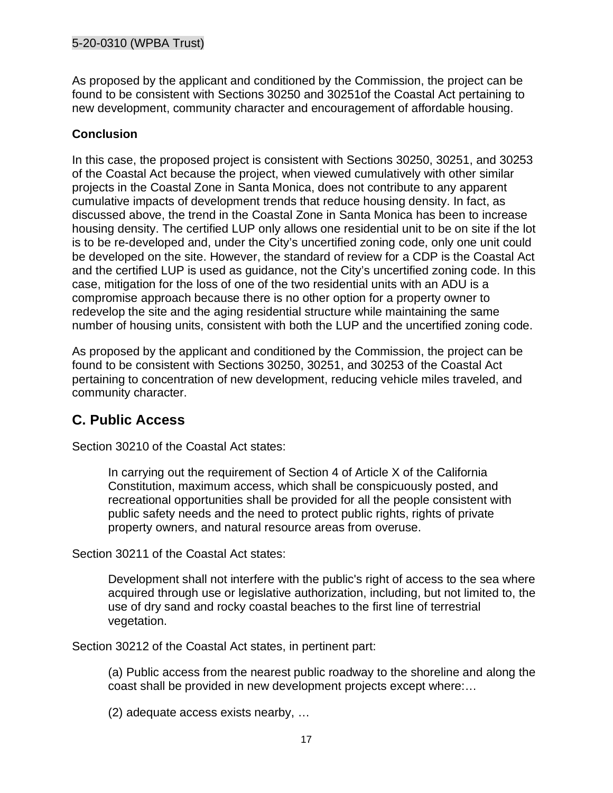As proposed by the applicant and conditioned by the Commission, the project can be found to be consistent with Sections 30250 and 30251of the Coastal Act pertaining to new development, community character and encouragement of affordable housing.

#### **Conclusion**

In this case, the proposed project is consistent with Sections 30250, 30251, and 30253 of the Coastal Act because the project, when viewed cumulatively with other similar projects in the Coastal Zone in Santa Monica, does not contribute to any apparent cumulative impacts of development trends that reduce housing density. In fact, as discussed above, the trend in the Coastal Zone in Santa Monica has been to increase housing density. The certified LUP only allows one residential unit to be on site if the lot is to be re-developed and, under the City's uncertified zoning code, only one unit could be developed on the site. However, the standard of review for a CDP is the Coastal Act and the certified LUP is used as guidance, not the City's uncertified zoning code. In this case, mitigation for the loss of one of the two residential units with an ADU is a compromise approach because there is no other option for a property owner to redevelop the site and the aging residential structure while maintaining the same number of housing units, consistent with both the LUP and the uncertified zoning code.

As proposed by the applicant and conditioned by the Commission, the project can be found to be consistent with Sections 30250, 30251, and 30253 of the Coastal Act pertaining to concentration of new development, reducing vehicle miles traveled, and community character.

## <span id="page-16-0"></span>**C. Public Access**

Section 30210 of the Coastal Act states:

In carrying out the requirement of Section 4 of Article X of the California Constitution, maximum access, which shall be conspicuously posted, and recreational opportunities shall be provided for all the people consistent with public safety needs and the need to protect public rights, rights of private property owners, and natural resource areas from overuse.

Section 30211 of the Coastal Act states:

Development shall not interfere with the public's right of access to the sea where acquired through use or legislative authorization, including, but not limited to, the use of dry sand and rocky coastal beaches to the first line of terrestrial vegetation.

Section 30212 of the Coastal Act states, in pertinent part:

(a) Public access from the nearest public roadway to the shoreline and along the coast shall be provided in new development projects except where:…

(2) adequate access exists nearby, …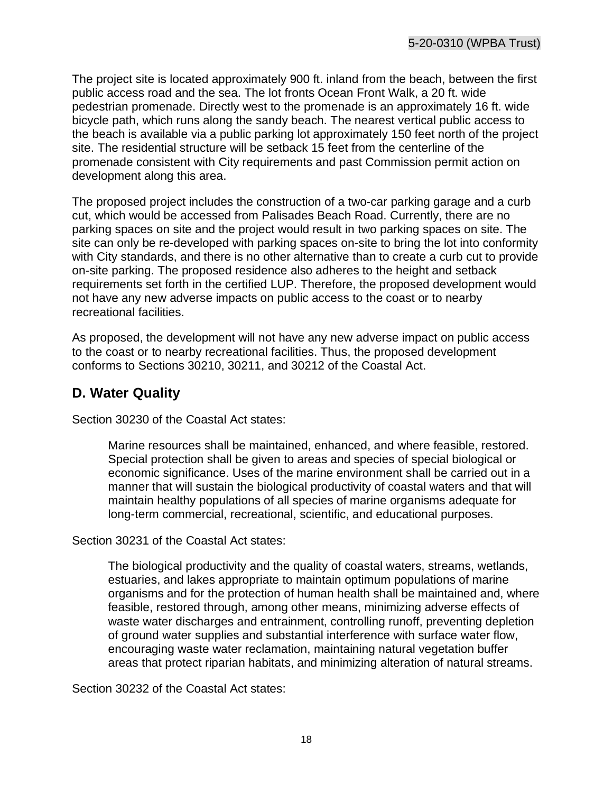The project site is located approximately 900 ft. inland from the beach, between the first public access road and the sea. The lot fronts Ocean Front Walk, a 20 ft. wide pedestrian promenade. Directly west to the promenade is an approximately 16 ft. wide bicycle path, which runs along the sandy beach. The nearest vertical public access to the beach is available via a public parking lot approximately 150 feet north of the project site. The residential structure will be setback 15 feet from the centerline of the promenade consistent with City requirements and past Commission permit action on development along this area.

The proposed project includes the construction of a two-car parking garage and a curb cut, which would be accessed from Palisades Beach Road. Currently, there are no parking spaces on site and the project would result in two parking spaces on site. The site can only be re-developed with parking spaces on-site to bring the lot into conformity with City standards, and there is no other alternative than to create a curb cut to provide on-site parking. The proposed residence also adheres to the height and setback requirements set forth in the certified LUP. Therefore, the proposed development would not have any new adverse impacts on public access to the coast or to nearby recreational facilities.

As proposed, the development will not have any new adverse impact on public access to the coast or to nearby recreational facilities. Thus, the proposed development conforms to Sections 30210, 30211, and 30212 of the Coastal Act.

## <span id="page-17-0"></span>**D. Water Quality**

Section 30230 of the Coastal Act states:

Marine resources shall be maintained, enhanced, and where feasible, restored. Special protection shall be given to areas and species of special biological or economic significance. Uses of the marine environment shall be carried out in a manner that will sustain the biological productivity of coastal waters and that will maintain healthy populations of all species of marine organisms adequate for long-term commercial, recreational, scientific, and educational purposes.

Section 30231 of the Coastal Act states:

The biological productivity and the quality of coastal waters, streams, wetlands, estuaries, and lakes appropriate to maintain optimum populations of marine organisms and for the protection of human health shall be maintained and, where feasible, restored through, among other means, minimizing adverse effects of waste water discharges and entrainment, controlling runoff, preventing depletion of ground water supplies and substantial interference with surface water flow, encouraging waste water reclamation, maintaining natural vegetation buffer areas that protect riparian habitats, and minimizing alteration of natural streams.

Section 30232 of the Coastal Act states: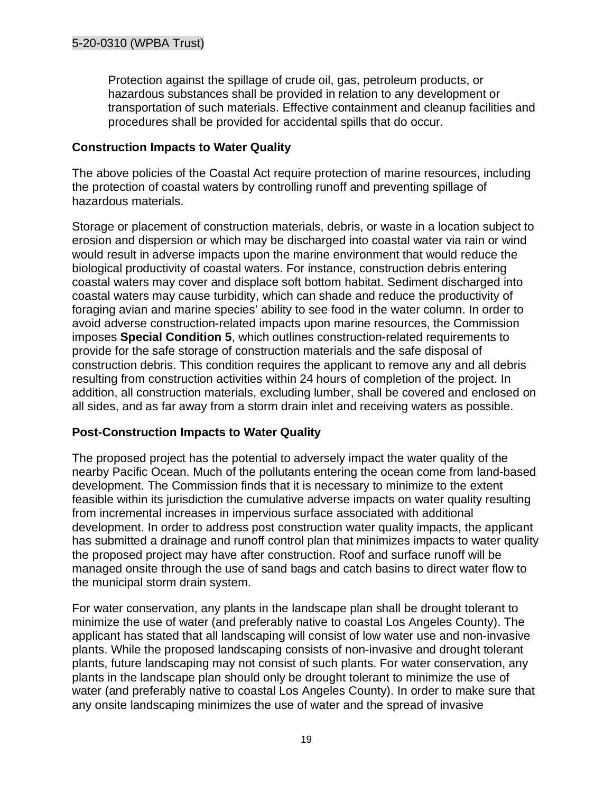Protection against the spillage of crude oil, gas, petroleum products, or hazardous substances shall be provided in relation to any development or transportation of such materials. Effective containment and cleanup facilities and procedures shall be provided for accidental spills that do occur.

#### **Construction Impacts to Water Quality**

The above policies of the Coastal Act require protection of marine resources, including the protection of coastal waters by controlling runoff and preventing spillage of hazardous materials.

Storage or placement of construction materials, debris, or waste in a location subject to erosion and dispersion or which may be discharged into coastal water via rain or wind would result in adverse impacts upon the marine environment that would reduce the biological productivity of coastal waters. For instance, construction debris entering coastal waters may cover and displace soft bottom habitat. Sediment discharged into coastal waters may cause turbidity, which can shade and reduce the productivity of foraging avian and marine species' ability to see food in the water column. In order to avoid adverse construction-related impacts upon marine resources, the Commission imposes **Special Condition 5**, which outlines construction-related requirements to provide for the safe storage of construction materials and the safe disposal of construction debris. This condition requires the applicant to remove any and all debris resulting from construction activities within 24 hours of completion of the project. In addition, all construction materials, excluding lumber, shall be covered and enclosed on all sides, and as far away from a storm drain inlet and receiving waters as possible.

#### **Post-Construction Impacts to Water Quality**

The proposed project has the potential to adversely impact the water quality of the nearby Pacific Ocean. Much of the pollutants entering the ocean come from land-based development. The Commission finds that it is necessary to minimize to the extent feasible within its jurisdiction the cumulative adverse impacts on water quality resulting from incremental increases in impervious surface associated with additional development. In order to address post construction water quality impacts, the applicant has submitted a drainage and runoff control plan that minimizes impacts to water quality the proposed project may have after construction. Roof and surface runoff will be managed onsite through the use of sand bags and catch basins to direct water flow to the municipal storm drain system.

For water conservation, any plants in the landscape plan shall be drought tolerant to minimize the use of water (and preferably native to coastal Los Angeles County). The applicant has stated that all landscaping will consist of low water use and non-invasive plants. While the proposed landscaping consists of non-invasive and drought tolerant plants, future landscaping may not consist of such plants. For water conservation, any plants in the landscape plan should only be drought tolerant to minimize the use of water (and preferably native to coastal Los Angeles County). In order to make sure that any onsite landscaping minimizes the use of water and the spread of invasive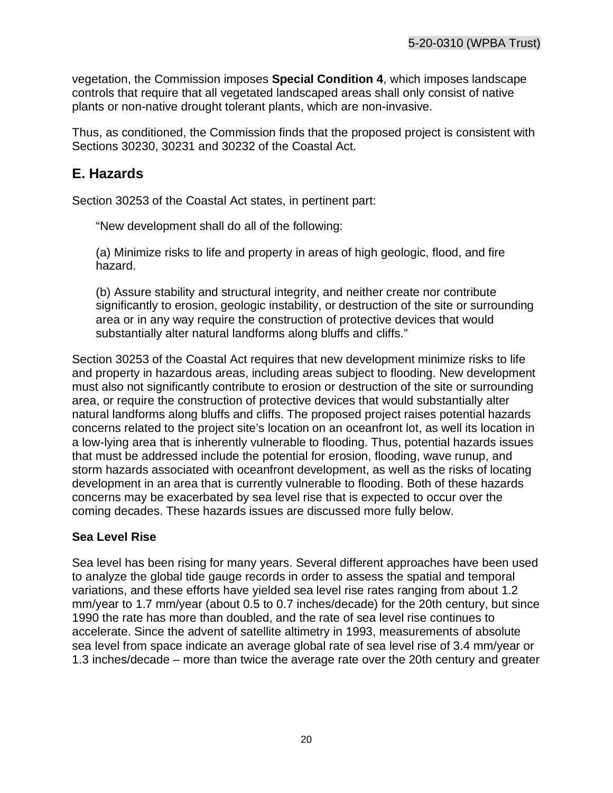vegetation, the Commission imposes **Special Condition 4**, which imposes landscape controls that require that all vegetated landscaped areas shall only consist of native plants or non-native drought tolerant plants, which are non-invasive.

Thus, as conditioned, the Commission finds that the proposed project is consistent with Sections 30230, 30231 and 30232 of the Coastal Act.

## <span id="page-19-0"></span>**E. Hazards**

Section 30253 of the Coastal Act states, in pertinent part:

"New development shall do all of the following:

(a) Minimize risks to life and property in areas of high geologic, flood, and fire hazard.

(b) Assure stability and structural integrity, and neither create nor contribute significantly to erosion, geologic instability, or destruction of the site or surrounding area or in any way require the construction of protective devices that would substantially alter natural landforms along bluffs and cliffs."

Section 30253 of the Coastal Act requires that new development minimize risks to life and property in hazardous areas, including areas subject to flooding. New development must also not significantly contribute to erosion or destruction of the site or surrounding area, or require the construction of protective devices that would substantially alter natural landforms along bluffs and cliffs. The proposed project raises potential hazards concerns related to the project site's location on an oceanfront lot, as well its location in a low-lying area that is inherently vulnerable to flooding. Thus, potential hazards issues that must be addressed include the potential for erosion, flooding, wave runup, and storm hazards associated with oceanfront development, as well as the risks of locating development in an area that is currently vulnerable to flooding. Both of these hazards concerns may be exacerbated by sea level rise that is expected to occur over the coming decades. These hazards issues are discussed more fully below.

#### **Sea Level Rise**

Sea level has been rising for many years. Several different approaches have been used to analyze the global tide gauge records in order to assess the spatial and temporal variations, and these efforts have yielded sea level rise rates ranging from about 1.2 mm/year to 1.7 mm/year (about 0.5 to 0.7 inches/decade) for the 20th century, but since 1990 the rate has more than doubled, and the rate of sea level rise continues to accelerate. Since the advent of satellite altimetry in 1993, measurements of absolute sea level from space indicate an average global rate of sea level rise of 3.4 mm/year or 1.3 inches/decade – more than twice the average rate over the 20th century and greater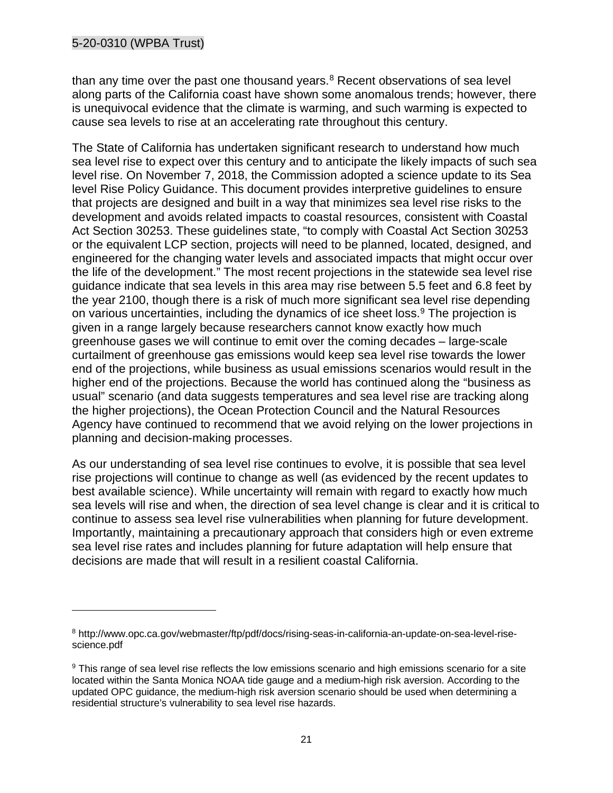than any time over the past one thousand years. $8$  Recent observations of sea level along parts of the California coast have shown some anomalous trends; however, there is unequivocal evidence that the climate is warming, and such warming is expected to cause sea levels to rise at an accelerating rate throughout this century.

The State of California has undertaken significant research to understand how much sea level rise to expect over this century and to anticipate the likely impacts of such sea level rise. On November 7, 2018, the Commission adopted a science update to its Sea level Rise Policy Guidance. This document provides interpretive guidelines to ensure that projects are designed and built in a way that minimizes sea level rise risks to the development and avoids related impacts to coastal resources, consistent with Coastal Act Section 30253. These guidelines state, "to comply with Coastal Act Section 30253 or the equivalent LCP section, projects will need to be planned, located, designed, and engineered for the changing water levels and associated impacts that might occur over the life of the development." The most recent projections in the statewide sea level rise guidance indicate that sea levels in this area may rise between 5.5 feet and 6.8 feet by the year 2100, though there is a risk of much more significant sea level rise depending on various uncertainties, including the dynamics of ice sheet loss.<sup>[9](#page-20-1)</sup> The projection is given in a range largely because researchers cannot know exactly how much greenhouse gases we will continue to emit over the coming decades – large-scale curtailment of greenhouse gas emissions would keep sea level rise towards the lower end of the projections, while business as usual emissions scenarios would result in the higher end of the projections. Because the world has continued along the "business as usual" scenario (and data suggests temperatures and sea level rise are tracking along the higher projections), the Ocean Protection Council and the Natural Resources Agency have continued to recommend that we avoid relying on the lower projections in planning and decision-making processes.

As our understanding of sea level rise continues to evolve, it is possible that sea level rise projections will continue to change as well (as evidenced by the recent updates to best available science). While uncertainty will remain with regard to exactly how much sea levels will rise and when, the direction of sea level change is clear and it is critical to continue to assess sea level rise vulnerabilities when planning for future development. Importantly, maintaining a precautionary approach that considers high or even extreme sea level rise rates and includes planning for future adaptation will help ensure that decisions are made that will result in a resilient coastal California.

<span id="page-20-0"></span><sup>8</sup> http://www.opc.ca.gov/webmaster/ftp/pdf/docs/rising-seas-in-california-an-update-on-sea-level-risescience.pdf

<span id="page-20-1"></span><sup>&</sup>lt;sup>9</sup> This range of sea level rise reflects the low emissions scenario and high emissions scenario for a site located within the Santa Monica NOAA tide gauge and a medium-high risk aversion. According to the updated OPC guidance, the medium-high risk aversion scenario should be used when determining a residential structure's vulnerability to sea level rise hazards.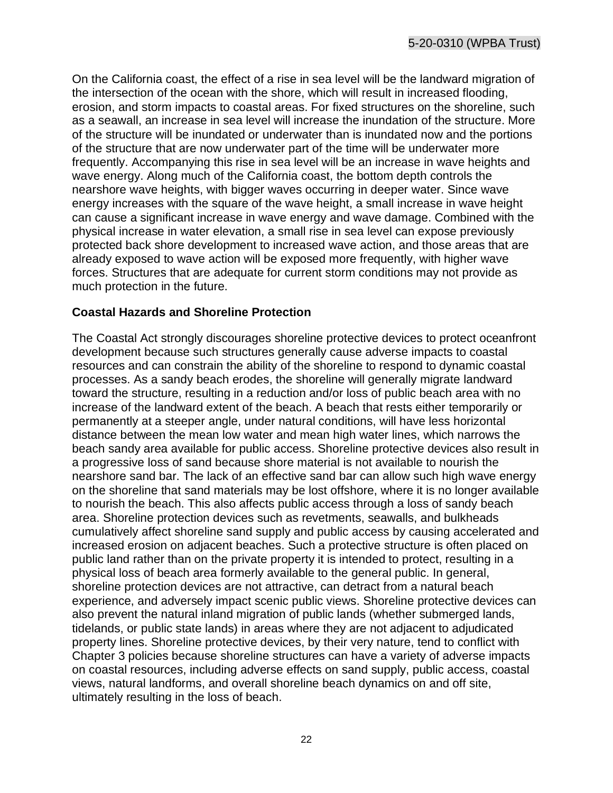On the California coast, the effect of a rise in sea level will be the landward migration of the intersection of the ocean with the shore, which will result in increased flooding, erosion, and storm impacts to coastal areas. For fixed structures on the shoreline, such as a seawall, an increase in sea level will increase the inundation of the structure. More of the structure will be inundated or underwater than is inundated now and the portions of the structure that are now underwater part of the time will be underwater more frequently. Accompanying this rise in sea level will be an increase in wave heights and wave energy. Along much of the California coast, the bottom depth controls the nearshore wave heights, with bigger waves occurring in deeper water. Since wave energy increases with the square of the wave height, a small increase in wave height can cause a significant increase in wave energy and wave damage. Combined with the physical increase in water elevation, a small rise in sea level can expose previously protected back shore development to increased wave action, and those areas that are already exposed to wave action will be exposed more frequently, with higher wave forces. Structures that are adequate for current storm conditions may not provide as much protection in the future.

#### **Coastal Hazards and Shoreline Protection**

The Coastal Act strongly discourages shoreline protective devices to protect oceanfront development because such structures generally cause adverse impacts to coastal resources and can constrain the ability of the shoreline to respond to dynamic coastal processes. As a sandy beach erodes, the shoreline will generally migrate landward toward the structure, resulting in a reduction and/or loss of public beach area with no increase of the landward extent of the beach. A beach that rests either temporarily or permanently at a steeper angle, under natural conditions, will have less horizontal distance between the mean low water and mean high water lines, which narrows the beach sandy area available for public access. Shoreline protective devices also result in a progressive loss of sand because shore material is not available to nourish the nearshore sand bar. The lack of an effective sand bar can allow such high wave energy on the shoreline that sand materials may be lost offshore, where it is no longer available to nourish the beach. This also affects public access through a loss of sandy beach area. Shoreline protection devices such as revetments, seawalls, and bulkheads cumulatively affect shoreline sand supply and public access by causing accelerated and increased erosion on adjacent beaches. Such a protective structure is often placed on public land rather than on the private property it is intended to protect, resulting in a physical loss of beach area formerly available to the general public. In general, shoreline protection devices are not attractive, can detract from a natural beach experience, and adversely impact scenic public views. Shoreline protective devices can also prevent the natural inland migration of public lands (whether submerged lands, tidelands, or public state lands) in areas where they are not adjacent to adjudicated property lines. Shoreline protective devices, by their very nature, tend to conflict with Chapter 3 policies because shoreline structures can have a variety of adverse impacts on coastal resources, including adverse effects on sand supply, public access, coastal views, natural landforms, and overall shoreline beach dynamics on and off site, ultimately resulting in the loss of beach.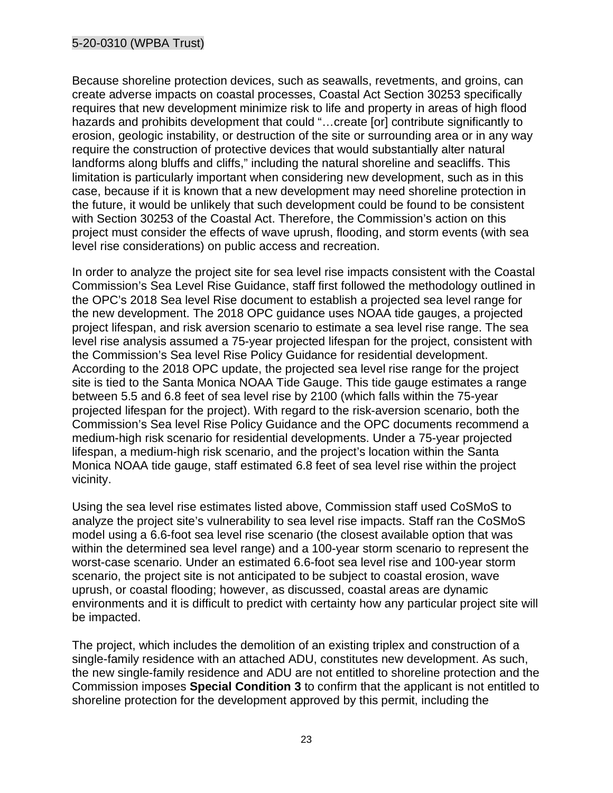#### 5-20-0310 (WPBA Trust)

Because shoreline protection devices, such as seawalls, revetments, and groins, can create adverse impacts on coastal processes, Coastal Act Section 30253 specifically requires that new development minimize risk to life and property in areas of high flood hazards and prohibits development that could "...create [or] contribute significantly to erosion, geologic instability, or destruction of the site or surrounding area or in any way require the construction of protective devices that would substantially alter natural landforms along bluffs and cliffs," including the natural shoreline and seacliffs. This limitation is particularly important when considering new development, such as in this case, because if it is known that a new development may need shoreline protection in the future, it would be unlikely that such development could be found to be consistent with Section 30253 of the Coastal Act. Therefore, the Commission's action on this project must consider the effects of wave uprush, flooding, and storm events (with sea level rise considerations) on public access and recreation.

In order to analyze the project site for sea level rise impacts consistent with the Coastal Commission's Sea Level Rise Guidance, staff first followed the methodology outlined in the OPC's 2018 Sea level Rise document to establish a projected sea level range for the new development. The 2018 OPC guidance uses NOAA tide gauges, a projected project lifespan, and risk aversion scenario to estimate a sea level rise range. The sea level rise analysis assumed a 75-year projected lifespan for the project, consistent with the Commission's Sea level Rise Policy Guidance for residential development. According to the 2018 OPC update, the projected sea level rise range for the project site is tied to the Santa Monica NOAA Tide Gauge. This tide gauge estimates a range between 5.5 and 6.8 feet of sea level rise by 2100 (which falls within the 75-year projected lifespan for the project). With regard to the risk-aversion scenario, both the Commission's Sea level Rise Policy Guidance and the OPC documents recommend a medium-high risk scenario for residential developments. Under a 75-year projected lifespan, a medium-high risk scenario, and the project's location within the Santa Monica NOAA tide gauge, staff estimated 6.8 feet of sea level rise within the project vicinity.

Using the sea level rise estimates listed above, Commission staff used CoSMoS to analyze the project site's vulnerability to sea level rise impacts. Staff ran the CoSMoS model using a 6.6-foot sea level rise scenario (the closest available option that was within the determined sea level range) and a 100-year storm scenario to represent the worst-case scenario. Under an estimated 6.6-foot sea level rise and 100-year storm scenario, the project site is not anticipated to be subject to coastal erosion, wave uprush, or coastal flooding; however, as discussed, coastal areas are dynamic environments and it is difficult to predict with certainty how any particular project site will be impacted.

The project, which includes the demolition of an existing triplex and construction of a single-family residence with an attached ADU, constitutes new development. As such, the new single-family residence and ADU are not entitled to shoreline protection and the Commission imposes **Special Condition 3** to confirm that the applicant is not entitled to shoreline protection for the development approved by this permit, including the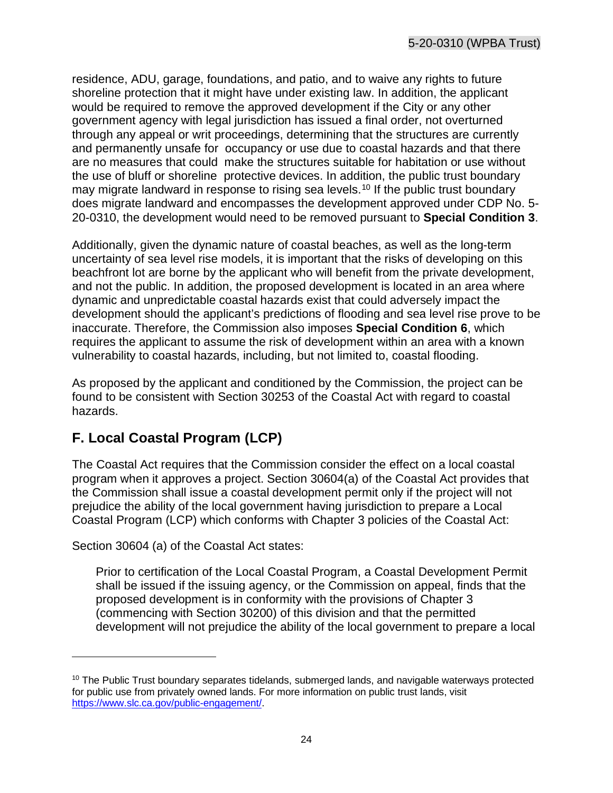residence, ADU, garage, foundations, and patio, and to waive any rights to future shoreline protection that it might have under existing law. In addition, the applicant would be required to remove the approved development if the City or any other government agency with legal jurisdiction has issued a final order, not overturned through any appeal or writ proceedings, determining that the structures are currently and permanently unsafe for occupancy or use due to coastal hazards and that there are no measures that could make the structures suitable for habitation or use without the use of bluff or shoreline protective devices. In addition, the public trust boundary may migrate landward in response to rising sea levels. [10](#page-23-1) If the public trust boundary does migrate landward and encompasses the development approved under CDP No. 5- 20-0310, the development would need to be removed pursuant to **Special Condition 3**.

Additionally, given the dynamic nature of coastal beaches, as well as the long-term uncertainty of sea level rise models, it is important that the risks of developing on this beachfront lot are borne by the applicant who will benefit from the private development, and not the public. In addition, the proposed development is located in an area where dynamic and unpredictable coastal hazards exist that could adversely impact the development should the applicant's predictions of flooding and sea level rise prove to be inaccurate. Therefore, the Commission also imposes **Special Condition 6**, which requires the applicant to assume the risk of development within an area with a known vulnerability to coastal hazards, including, but not limited to, coastal flooding.

As proposed by the applicant and conditioned by the Commission, the project can be found to be consistent with Section 30253 of the Coastal Act with regard to coastal hazards.

# <span id="page-23-0"></span>**F. Local Coastal Program (LCP)**

The Coastal Act requires that the Commission consider the effect on a local coastal program when it approves a project. Section 30604(a) of the Coastal Act provides that the Commission shall issue a coastal development permit only if the project will not prejudice the ability of the local government having jurisdiction to prepare a Local Coastal Program (LCP) which conforms with Chapter 3 policies of the Coastal Act:

Section 30604 (a) of the Coastal Act states:

Prior to certification of the Local Coastal Program, a Coastal Development Permit shall be issued if the issuing agency, or the Commission on appeal, finds that the proposed development is in conformity with the provisions of Chapter 3 (commencing with Section 30200) of this division and that the permitted development will not prejudice the ability of the local government to prepare a local

<span id="page-23-1"></span> $10$  The Public Trust boundary separates tidelands, submerged lands, and navigable waterways protected for public use from privately owned lands. For more information on public trust lands, visit [https://www.slc.ca.gov/public-engagement/.](https://www.slc.ca.gov/public-engagement/)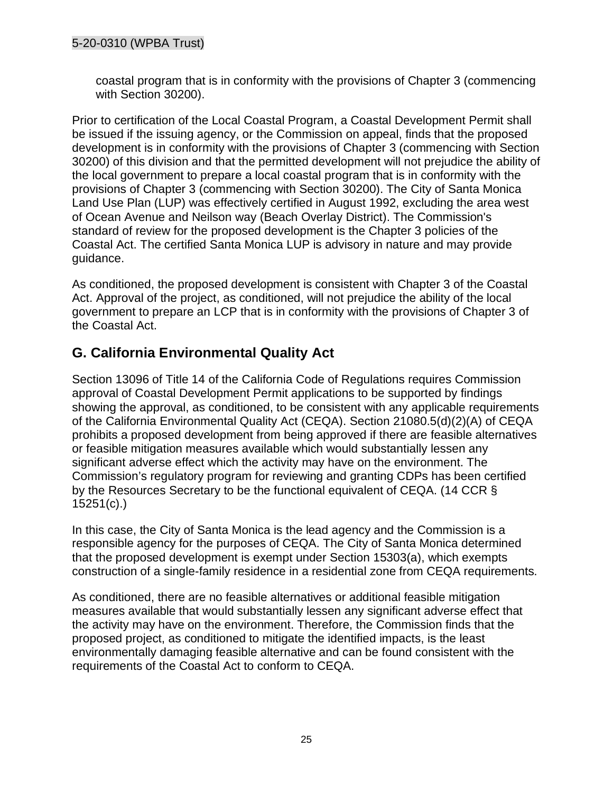#### 5-20-0310 (WPBA Trust)

coastal program that is in conformity with the provisions of Chapter 3 (commencing with Section 30200).

Prior to certification of the Local Coastal Program, a Coastal Development Permit shall be issued if the issuing agency, or the Commission on appeal, finds that the proposed development is in conformity with the provisions of Chapter 3 (commencing with Section 30200) of this division and that the permitted development will not prejudice the ability of the local government to prepare a local coastal program that is in conformity with the provisions of Chapter 3 (commencing with Section 30200). The City of Santa Monica Land Use Plan (LUP) was effectively certified in August 1992, excluding the area west of Ocean Avenue and Neilson way (Beach Overlay District). The Commission's standard of review for the proposed development is the Chapter 3 policies of the Coastal Act. The certified Santa Monica LUP is advisory in nature and may provide guidance.

As conditioned, the proposed development is consistent with Chapter 3 of the Coastal Act. Approval of the project, as conditioned, will not prejudice the ability of the local government to prepare an LCP that is in conformity with the provisions of Chapter 3 of the Coastal Act.

## <span id="page-24-0"></span>**G. California Environmental Quality Act**

Section 13096 of Title 14 of the California Code of Regulations requires Commission approval of Coastal Development Permit applications to be supported by findings showing the approval, as conditioned, to be consistent with any applicable requirements of the California Environmental Quality Act (CEQA). Section 21080.5(d)(2)(A) of CEQA prohibits a proposed development from being approved if there are feasible alternatives or feasible mitigation measures available which would substantially lessen any significant adverse effect which the activity may have on the environment. The Commission's regulatory program for reviewing and granting CDPs has been certified by the Resources Secretary to be the functional equivalent of CEQA. (14 CCR § 15251(c).)

In this case, the City of Santa Monica is the lead agency and the Commission is a responsible agency for the purposes of CEQA. The City of Santa Monica determined that the proposed development is exempt under Section 15303(a), which exempts construction of a single-family residence in a residential zone from CEQA requirements.

As conditioned, there are no feasible alternatives or additional feasible mitigation measures available that would substantially lessen any significant adverse effect that the activity may have on the environment. Therefore, the Commission finds that the proposed project, as conditioned to mitigate the identified impacts, is the least environmentally damaging feasible alternative and can be found consistent with the requirements of the Coastal Act to conform to CEQA.